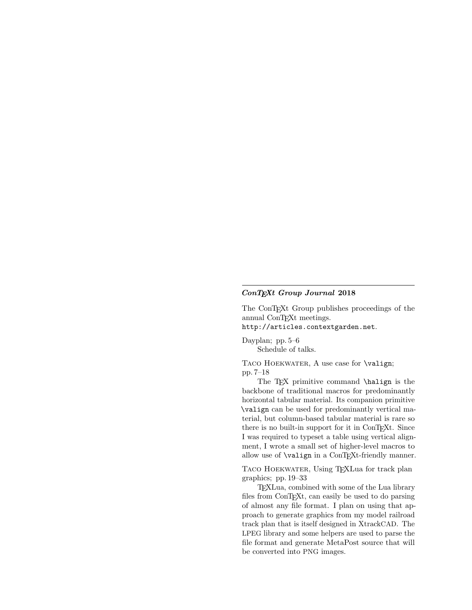## ConTEXt Group Journal 2018

The ConTEXt Group publishes proceedings of the annual ConTEXt meetings.

http://articles.contextgarden.net.

Dayplan; pp. 5–6 Schedule of talks.

TACO HOEKWATER, A use case for **\valign**; pp. 7–18

The T<sub>EX</sub> primitive command \halign is the backbone of traditional macros for predominantly horizontal tabular material. Its companion primitive \valign can be used for predominantly vertical material, but column-based tabular material is rare so there is no built-in support for it in ConTEXt. Since I was required to typeset a table using vertical alignment, I wrote a small set of higher-level macros to allow use of  $\valign$  in a ConTEXt-friendly manner.

TACO HOEKWATER, Using T<sub>E</sub>XLua for track plan graphics; pp. 19–33

TEXLua, combined with some of the Lua library files from ConTEXt, can easily be used to do parsing of almost any file format. I plan on using that approach to generate graphics from my model railroad track plan that is itself designed in XtrackCAD. The LPEG library and some helpers are used to parse the file format and generate MetaPost source that will be converted into PNG images.